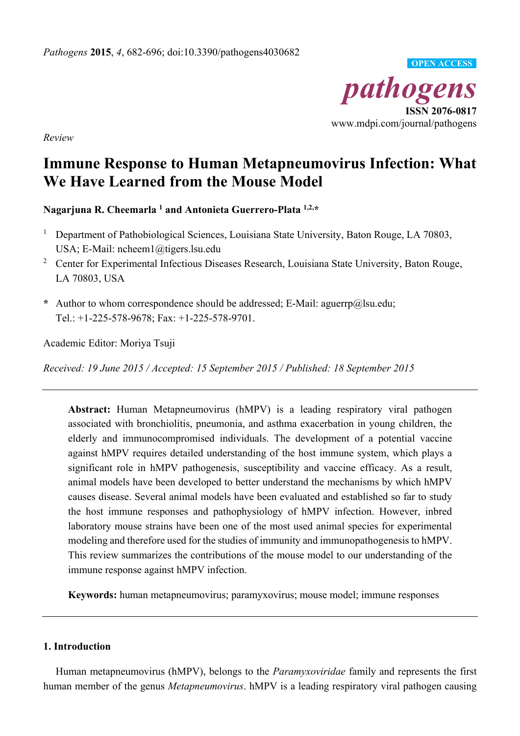

*Review* 

# **Immune Response to Human Metapneumovirus Infection: What We Have Learned from the Mouse Model**

**Nagarjuna R. Cheemarla 1 and Antonieta Guerrero-Plata 1,2,\*** 

- 1 Department of Pathobiological Sciences, Louisiana State University, Baton Rouge, LA 70803, USA; E-Mail: ncheem1@tigers.lsu.edu
- <sup>2</sup> Center for Experimental Infectious Diseases Research, Louisiana State University, Baton Rouge, LA 70803, USA
- **\*** Author to whom correspondence should be addressed; E-Mail: aguerrp@lsu.edu; Tel.: +1-225-578-9678; Fax: +1-225-578-9701.

Academic Editor: Moriya Tsuji

*Received: 19 June 2015 / Accepted: 15 September 2015 / Published: 18 September 2015* 

**Abstract:** Human Metapneumovirus (hMPV) is a leading respiratory viral pathogen associated with bronchiolitis, pneumonia, and asthma exacerbation in young children, the elderly and immunocompromised individuals. The development of a potential vaccine against hMPV requires detailed understanding of the host immune system, which plays a significant role in hMPV pathogenesis, susceptibility and vaccine efficacy. As a result, animal models have been developed to better understand the mechanisms by which hMPV causes disease. Several animal models have been evaluated and established so far to study the host immune responses and pathophysiology of hMPV infection. However, inbred laboratory mouse strains have been one of the most used animal species for experimental modeling and therefore used for the studies of immunity and immunopathogenesis to hMPV. This review summarizes the contributions of the mouse model to our understanding of the immune response against hMPV infection.

**Keywords:** human metapneumovirus; paramyxovirus; mouse model; immune responses

## **1. Introduction**

Human metapneumovirus (hMPV), belongs to the *Paramyxoviridae* family and represents the first human member of the genus *Metapneumovirus*. hMPV is a leading respiratory viral pathogen causing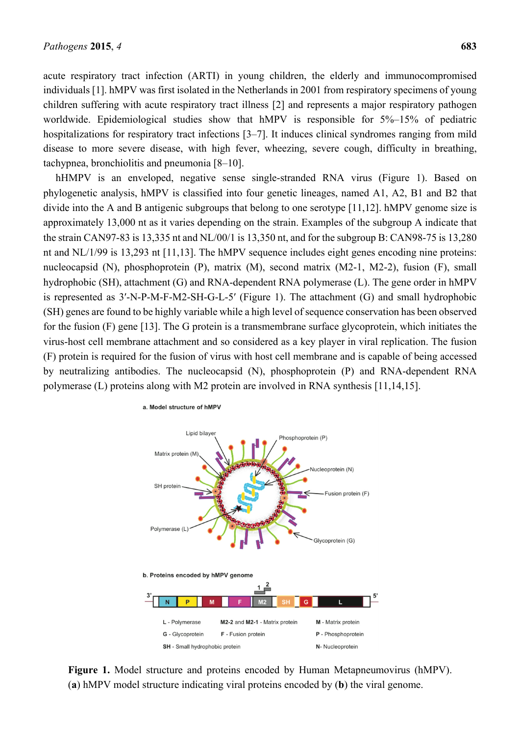acute respiratory tract infection (ARTI) in young children, the elderly and immunocompromised individuals [1]. hMPV was first isolated in the Netherlands in 2001 from respiratory specimens of young children suffering with acute respiratory tract illness [2] and represents a major respiratory pathogen worldwide. Epidemiological studies show that hMPV is responsible for  $5\%$ –15% of pediatric hospitalizations for respiratory tract infections [3–7]. It induces clinical syndromes ranging from mild disease to more severe disease, with high fever, wheezing, severe cough, difficulty in breathing, tachypnea, bronchiolitis and pneumonia [8–10].

hHMPV is an enveloped, negative sense single-stranded RNA virus (Figure 1). Based on phylogenetic analysis, hMPV is classified into four genetic lineages, named A1, A2, B1 and B2 that divide into the A and B antigenic subgroups that belong to one serotype [11,12]. hMPV genome size is approximately 13,000 nt as it varies depending on the strain. Examples of the subgroup A indicate that the strain CAN97-83 is 13,335 nt and NL/00/1 is 13,350 nt, and for the subgroup B: CAN98-75 is 13,280 nt and NL/1/99 is 13,293 nt [11,13]. The hMPV sequence includes eight genes encoding nine proteins: nucleocapsid (N), phosphoprotein (P), matrix (M), second matrix (M2-1, M2-2), fusion (F), small hydrophobic (SH), attachment (G) and RNA-dependent RNA polymerase (L). The gene order in hMPV is represented as 3′-N-P-M-F-M2-SH-G-L-5′ (Figure 1). The attachment (G) and small hydrophobic (SH) genes are found to be highly variable while a high level of sequence conservation has been observed for the fusion (F) gene [13]. The G protein is a transmembrane surface glycoprotein, which initiates the virus-host cell membrane attachment and so considered as a key player in viral replication. The fusion (F) protein is required for the fusion of virus with host cell membrane and is capable of being accessed by neutralizing antibodies. The nucleocapsid (N), phosphoprotein (P) and RNA-dependent RNA polymerase (L) proteins along with M2 protein are involved in RNA synthesis [11,14,15].



**Figure 1.** Model structure and proteins encoded by Human Metapneumovirus (hMPV). (**a**) hMPV model structure indicating viral proteins encoded by (**b**) the viral genome.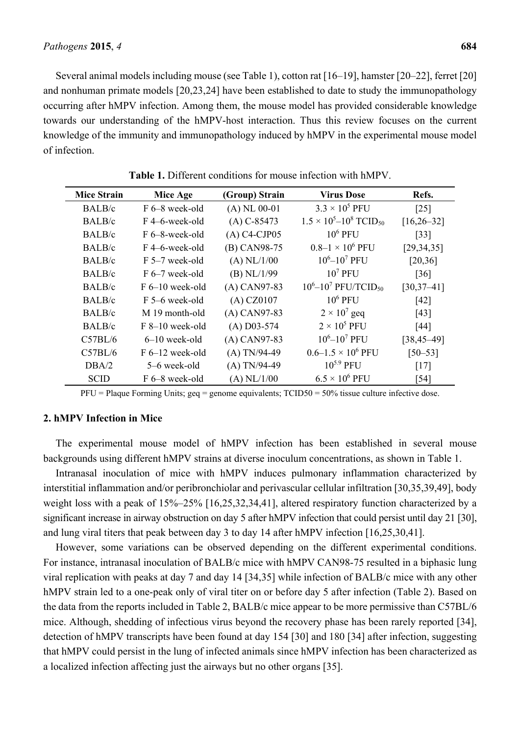Several animal models including mouse (see Table 1), cotton rat [16–19], hamster [20–22], ferret [20] and nonhuman primate models [20,23,24] have been established to date to study the immunopathology occurring after hMPV infection. Among them, the mouse model has provided considerable knowledge towards our understanding of the hMPV-host interaction. Thus this review focuses on the current knowledge of the immunity and immunopathology induced by hMPV in the experimental mouse model of infection.

| <b>Mice Strain</b> | Mice Age                 | (Group) Strain  | <b>Virus Dose</b>                           | Refs.              |
|--------------------|--------------------------|-----------------|---------------------------------------------|--------------------|
| BALB/c             | F 6–8 week-old           | $(A)$ NL 00-01  | $3.3 \times 10^5$ PFU                       | $\lceil 25 \rceil$ |
| BALB/c             | F 4–6-week-old           | $(A) C - 85473$ | $1.5 \times 10^5 - 10^8$ TCID <sub>50</sub> | $[16, 26 - 32]$    |
| BALB/c             | F 6–8-week-old           | $(A)$ C4-CJP05  | $106$ PFU                                   | $[33]$             |
| BALB/c             | F4-6-week-old            | (B) CAN98-75    | $0.8 - 1 \times 10^6$ PFU                   | [29, 34, 35]       |
| BALB/c             | F 5–7 week-old           | $(A)$ NL/1/00   | $10^6 - 10^7$ PFU                           | [20,36]            |
| BALB/c             | $F_{0}$ = 7 week-old     | $(B)$ NL/1/99   | $107$ PFU                                   | $\lceil 36 \rceil$ |
| BALB/c             | $F_{0}$ + $-10$ week-old | $(A)$ CAN97-83  | $10^6 - 10^7$ PFU/TCID <sub>50</sub>        | $[30, 37 - 41]$    |
| BALB/c             | F 5–6 week-old           | $(A)$ CZ0107    | $106$ PFU                                   | [42]               |
| BALB/c             | M 19 month-old           | $(A)$ CAN97-83  | $2 \times 10^7$ geq                         | [43]               |
| BALB/c             | $F 8-10$ week-old        | $(A)$ D03-574   | $2 \times 10^5$ PFU                         | [44]               |
| C57BL/6            | $6-10$ week-old          | $(A)$ CAN97-83  | $10^6 - 10^7$ PFU                           | $[38, 45 - 49]$    |
| C57BL/6            | $F_{6-12}$ week-old      | $(A)$ TN/94-49  | $0.6 - 1.5 \times 10^6$ PFU                 | $[50 - 53]$        |
| $\text{DBA}/2$     | 5–6 week-old             | $(A)$ TN/94-49  | $10^{5.9}$ PFU                              | [17]               |
| <b>SCID</b>        | F 6–8 week-old           | $(A)$ NL/1/00   | $6.5 \times 10^6$ PFU                       | $[54]$             |

**Table 1.** Different conditions for mouse infection with hMPV.

 $PFU =$  Plaque Forming Units;  $geq$  = genome equivalents; TCID50 = 50% tissue culture infective dose.

## **2. hMPV Infection in Mice**

The experimental mouse model of hMPV infection has been established in several mouse backgrounds using different hMPV strains at diverse inoculum concentrations, as shown in Table 1.

Intranasal inoculation of mice with hMPV induces pulmonary inflammation characterized by interstitial inflammation and/or peribronchiolar and perivascular cellular infiltration [30,35,39,49], body weight loss with a peak of 15%–25% [16,25,32,34,41], altered respiratory function characterized by a significant increase in airway obstruction on day 5 after hMPV infection that could persist until day 21 [30], and lung viral titers that peak between day 3 to day 14 after hMPV infection [16,25,30,41].

However, some variations can be observed depending on the different experimental conditions. For instance, intranasal inoculation of BALB/c mice with hMPV CAN98-75 resulted in a biphasic lung viral replication with peaks at day 7 and day 14 [34,35] while infection of BALB/c mice with any other hMPV strain led to a one-peak only of viral titer on or before day 5 after infection (Table 2). Based on the data from the reports included in Table 2, BALB/c mice appear to be more permissive than C57BL/6 mice. Although, shedding of infectious virus beyond the recovery phase has been rarely reported [34], detection of hMPV transcripts have been found at day 154 [30] and 180 [34] after infection, suggesting that hMPV could persist in the lung of infected animals since hMPV infection has been characterized as a localized infection affecting just the airways but no other organs [35].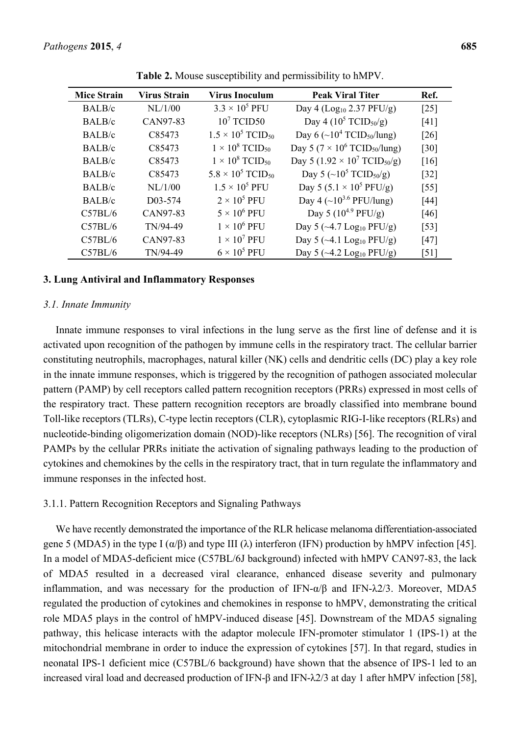| <b>Mice Strain</b> | Virus Strain | <b>Virus Inoculum</b>                | <b>Peak Viral Titer</b>                                     | Ref.               |
|--------------------|--------------|--------------------------------------|-------------------------------------------------------------|--------------------|
| BALB/c             | NL/1/00      | $3.3 \times 10^5$ PFU                | Day 4 ( $Log10 2.37 PFU/g$ )                                | $[25]$             |
| BALB/c             | CAN97-83     | $107$ TCID50                         | Day 4 (10 <sup>5</sup> TCID <sub>50</sub> /g)               | [41]               |
| BALB/c             | C85473       | $1.5 \times 10^5$ TCID <sub>50</sub> | Day 6 ( $\sim$ 10 <sup>4</sup> TCID <sub>50</sub> /lung)    | $\lceil 26 \rceil$ |
| BALB/c             | C85473       | $1 \times 10^8$ TCID <sub>50</sub>   | Day 5 (7 $\times$ 10 <sup>6</sup> TCID <sub>50</sub> /lung) | $\lceil 30 \rceil$ |
| BALB/c             | C85473       | $1 \times 10^8$ TCID <sub>50</sub>   | Day 5 (1.92 $\times$ 10 <sup>7</sup> TCID <sub>50</sub> /g) | [16]               |
| BALB/c             | C85473       | $5.8 \times 10^5$ TCID <sub>50</sub> | Day 5 (~10 <sup>5</sup> TCID <sub>50</sub> /g)              | $[32]$             |
| BALB/c             | NL/1/00      | $1.5 \times 10^5$ PFU                | Day 5 (5.1 $\times$ 10 <sup>5</sup> PFU/g)                  | $\left[55\right]$  |
| BALB/c             | D03-574      | $2 \times 10^5$ PFU                  | Day 4 (~ $10^{3.6}$ PFU/lung)                               | $[44]$             |
| C57BL/6            | CAN97-83     | $5 \times 10^6$ PFU                  | Day 5 $(10^{4.9} \text{ PFU/g})$                            | [46]               |
| C57BL/6            | TN/94-49     | $1 \times 10^6$ PFU                  | Day 5 ( $\sim$ 4.7 Log <sub>10</sub> PFU/g)                 | $\lceil 53 \rceil$ |
| C57BL/6            | CAN97-83     | $1 \times 10^7$ PFU                  | Day 5 ( $\sim$ 4.1 Log <sub>10</sub> PFU/g)                 | $[47]$             |
| C57BL/6            | TN/94-49     | $6 \times 10^5$ PFU                  | Day 5 ( $\sim$ 4.2 Log <sub>10</sub> PFU/g)                 | $\lceil 51 \rceil$ |

**Table 2.** Mouse susceptibility and permissibility to hMPV.

#### **3. Lung Antiviral and Inflammatory Responses**

#### *3.1. Innate Immunity*

Innate immune responses to viral infections in the lung serve as the first line of defense and it is activated upon recognition of the pathogen by immune cells in the respiratory tract. The cellular barrier constituting neutrophils, macrophages, natural killer (NK) cells and dendritic cells (DC) play a key role in the innate immune responses, which is triggered by the recognition of pathogen associated molecular pattern (PAMP) by cell receptors called pattern recognition receptors (PRRs) expressed in most cells of the respiratory tract. These pattern recognition receptors are broadly classified into membrane bound Toll-like receptors (TLRs), C-type lectin receptors (CLR), cytoplasmic RIG-I-like receptors (RLRs) and nucleotide-binding oligomerization domain (NOD)-like receptors (NLRs) [56]. The recognition of viral PAMPs by the cellular PRRs initiate the activation of signaling pathways leading to the production of cytokines and chemokines by the cells in the respiratory tract, that in turn regulate the inflammatory and immune responses in the infected host.

### 3.1.1. Pattern Recognition Receptors and Signaling Pathways

We have recently demonstrated the importance of the RLR helicase melanoma differentiation-associated gene 5 (MDA5) in the type I  $(\alpha/\beta)$  and type III ( $\lambda$ ) interferon (IFN) production by hMPV infection [45]. In a model of MDA5-deficient mice (C57BL/6J background) infected with hMPV CAN97-83, the lack of MDA5 resulted in a decreased viral clearance, enhanced disease severity and pulmonary inflammation, and was necessary for the production of IFN- $\alpha/\beta$  and IFN- $\lambda$ 2/3. Moreover, MDA5 regulated the production of cytokines and chemokines in response to hMPV, demonstrating the critical role MDA5 plays in the control of hMPV-induced disease [45]. Downstream of the MDA5 signaling pathway, this helicase interacts with the adaptor molecule IFN-promoter stimulator 1 (IPS-1) at the mitochondrial membrane in order to induce the expression of cytokines [57]. In that regard, studies in neonatal IPS-1 deficient mice (C57BL/6 background) have shown that the absence of IPS-1 led to an increased viral load and decreased production of IFN-β and IFN-λ2/3 at day 1 after hMPV infection [58],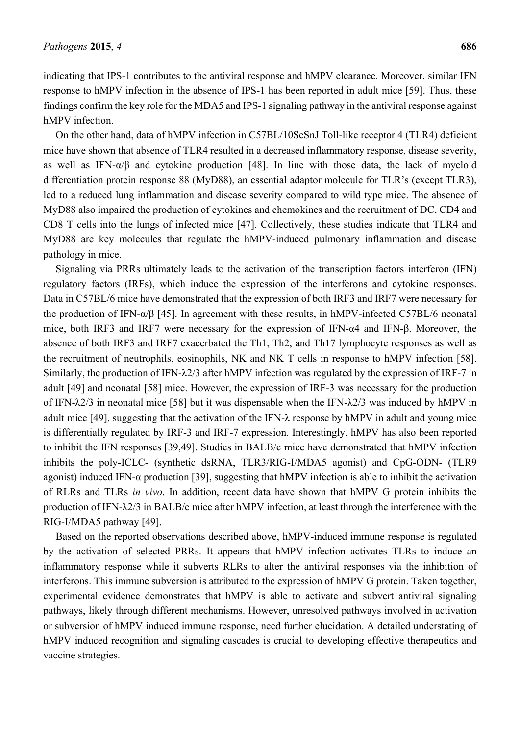indicating that IPS-1 contributes to the antiviral response and hMPV clearance. Moreover, similar IFN response to hMPV infection in the absence of IPS-1 has been reported in adult mice [59]. Thus, these findings confirm the key role for the MDA5 and IPS-1 signaling pathway in the antiviral response against hMPV infection.

On the other hand, data of hMPV infection in C57BL/10ScSnJ Toll-like receptor 4 (TLR4) deficient mice have shown that absence of TLR4 resulted in a decreased inflammatory response, disease severity, as well as IFN-α/β and cytokine production [48]. In line with those data, the lack of myeloid differentiation protein response 88 (MyD88), an essential adaptor molecule for TLR's (except TLR3), led to a reduced lung inflammation and disease severity compared to wild type mice. The absence of MyD88 also impaired the production of cytokines and chemokines and the recruitment of DC, CD4 and CD8 T cells into the lungs of infected mice [47]. Collectively, these studies indicate that TLR4 and MyD88 are key molecules that regulate the hMPV-induced pulmonary inflammation and disease pathology in mice.

Signaling via PRRs ultimately leads to the activation of the transcription factors interferon (IFN) regulatory factors (IRFs), which induce the expression of the interferons and cytokine responses. Data in C57BL/6 mice have demonstrated that the expression of both IRF3 and IRF7 were necessary for the production of IFN-α/β [45]. In agreement with these results, in hMPV-infected C57BL/6 neonatal mice, both IRF3 and IRF7 were necessary for the expression of IFN-α4 and IFN-β. Moreover, the absence of both IRF3 and IRF7 exacerbated the Th1, Th2, and Th17 lymphocyte responses as well as the recruitment of neutrophils, eosinophils, NK and NK T cells in response to hMPV infection [58]. Similarly, the production of IFN-λ2/3 after hMPV infection was regulated by the expression of IRF-7 in adult [49] and neonatal [58] mice. However, the expression of IRF-3 was necessary for the production of IFN-λ2/3 in neonatal mice [58] but it was dispensable when the IFN-λ2/3 was induced by hMPV in adult mice [49], suggesting that the activation of the IFN-λ response by hMPV in adult and young mice is differentially regulated by IRF-3 and IRF-7 expression. Interestingly, hMPV has also been reported to inhibit the IFN responses [39,49]. Studies in BALB/c mice have demonstrated that hMPV infection inhibits the poly-ICLC- (synthetic dsRNA, TLR3/RIG-I/MDA5 agonist) and CpG-ODN- (TLR9 agonist) induced IFN-α production [39], suggesting that hMPV infection is able to inhibit the activation of RLRs and TLRs *in vivo*. In addition, recent data have shown that hMPV G protein inhibits the production of IFN-λ2/3 in BALB/c mice after hMPV infection, at least through the interference with the RIG-I/MDA5 pathway [49].

Based on the reported observations described above, hMPV-induced immune response is regulated by the activation of selected PRRs. It appears that hMPV infection activates TLRs to induce an inflammatory response while it subverts RLRs to alter the antiviral responses via the inhibition of interferons. This immune subversion is attributed to the expression of hMPV G protein. Taken together, experimental evidence demonstrates that hMPV is able to activate and subvert antiviral signaling pathways, likely through different mechanisms. However, unresolved pathways involved in activation or subversion of hMPV induced immune response, need further elucidation. A detailed understating of hMPV induced recognition and signaling cascades is crucial to developing effective therapeutics and vaccine strategies.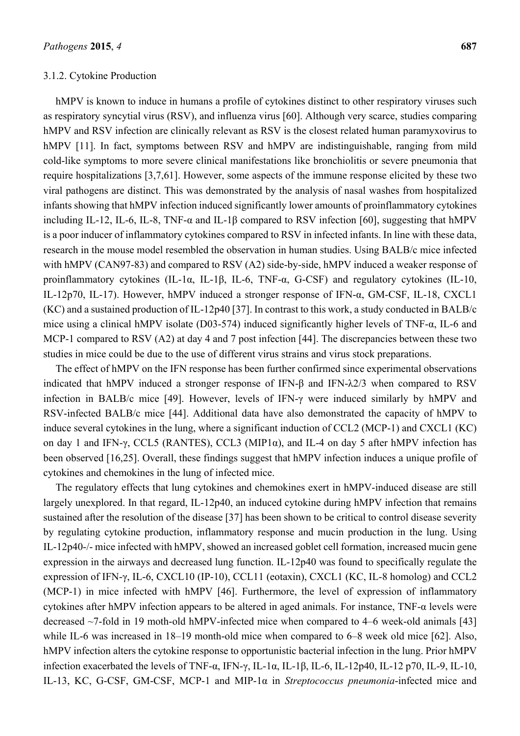#### 3.1.2. Cytokine Production

hMPV is known to induce in humans a profile of cytokines distinct to other respiratory viruses such as respiratory syncytial virus (RSV), and influenza virus [60]. Although very scarce, studies comparing hMPV and RSV infection are clinically relevant as RSV is the closest related human paramyxovirus to hMPV [11]. In fact, symptoms between RSV and hMPV are indistinguishable, ranging from mild cold-like symptoms to more severe clinical manifestations like bronchiolitis or severe pneumonia that require hospitalizations [3,7,61]. However, some aspects of the immune response elicited by these two viral pathogens are distinct. This was demonstrated by the analysis of nasal washes from hospitalized infants showing that hMPV infection induced significantly lower amounts of proinflammatory cytokines including IL-12, IL-6, IL-8, TNF-α and IL-1β compared to RSV infection [60], suggesting that hMPV is a poor inducer of inflammatory cytokines compared to RSV in infected infants. In line with these data, research in the mouse model resembled the observation in human studies. Using BALB/c mice infected with hMPV (CAN97-83) and compared to RSV (A2) side-by-side, hMPV induced a weaker response of proinflammatory cytokines (IL-1α, IL-1β, IL-6, TNF-α, G-CSF) and regulatory cytokines (IL-10, IL-12p70, IL-17). However, hMPV induced a stronger response of IFN-α, GM-CSF, IL-18, CXCL1 (KC) and a sustained production of IL-12p40 [37]. In contrast to this work, a study conducted in BALB/c mice using a clinical hMPV isolate (D03-574) induced significantly higher levels of TNF-α, IL-6 and MCP-1 compared to RSV (A2) at day 4 and 7 post infection [44]. The discrepancies between these two studies in mice could be due to the use of different virus strains and virus stock preparations.

The effect of hMPV on the IFN response has been further confirmed since experimental observations indicated that hMPV induced a stronger response of IFN-β and IFN-λ2/3 when compared to RSV infection in BALB/c mice [49]. However, levels of IFN-γ were induced similarly by hMPV and RSV-infected BALB/c mice [44]. Additional data have also demonstrated the capacity of hMPV to induce several cytokines in the lung, where a significant induction of CCL2 (MCP-1) and CXCL1 (KC) on day 1 and IFN-γ, CCL5 (RANTES), CCL3 (MIP1α), and IL-4 on day 5 after hMPV infection has been observed [16,25]. Overall, these findings suggest that hMPV infection induces a unique profile of cytokines and chemokines in the lung of infected mice.

The regulatory effects that lung cytokines and chemokines exert in hMPV-induced disease are still largely unexplored. In that regard, IL-12p40, an induced cytokine during hMPV infection that remains sustained after the resolution of the disease [37] has been shown to be critical to control disease severity by regulating cytokine production, inflammatory response and mucin production in the lung. Using IL-12p40-/- mice infected with hMPV, showed an increased goblet cell formation, increased mucin gene expression in the airways and decreased lung function. IL-12p40 was found to specifically regulate the expression of IFN-γ, IL-6, CXCL10 (IP-10), CCL11 (eotaxin), CXCL1 (KC, IL-8 homolog) and CCL2 (MCP-1) in mice infected with hMPV [46]. Furthermore, the level of expression of inflammatory cytokines after hMPV infection appears to be altered in aged animals. For instance, TNF- $\alpha$  levels were decreased ~7-fold in 19 moth-old hMPV-infected mice when compared to 4–6 week-old animals [43] while IL-6 was increased in 18–19 month-old mice when compared to 6–8 week old mice [62]. Also, hMPV infection alters the cytokine response to opportunistic bacterial infection in the lung. Prior hMPV infection exacerbated the levels of TNF-α, IFN-γ, IL-1α, IL-1β, IL-6, IL-12p40, IL-12 p70, IL-9, IL-10, IL-13, KC, G-CSF, GM-CSF, MCP-1 and MIP-1α in *Streptococcus pneumonia*-infected mice and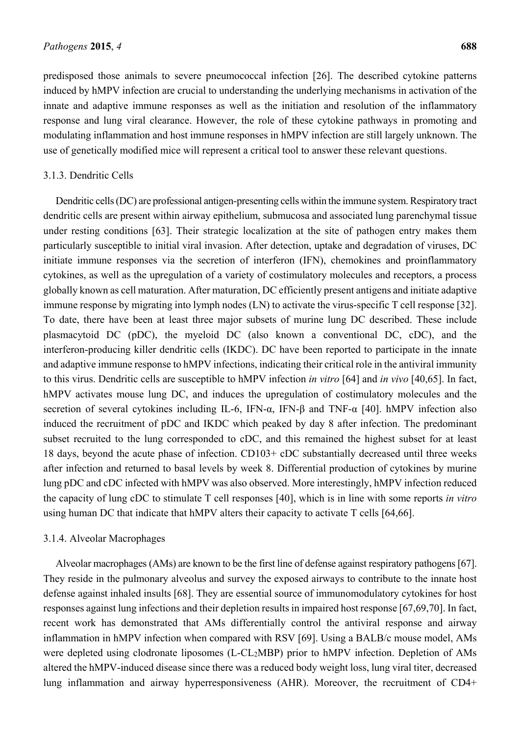predisposed those animals to severe pneumococcal infection [26]. The described cytokine patterns induced by hMPV infection are crucial to understanding the underlying mechanisms in activation of the innate and adaptive immune responses as well as the initiation and resolution of the inflammatory response and lung viral clearance. However, the role of these cytokine pathways in promoting and modulating inflammation and host immune responses in hMPV infection are still largely unknown. The use of genetically modified mice will represent a critical tool to answer these relevant questions.

#### 3.1.3. Dendritic Cells

Dendritic cells (DC) are professional antigen-presenting cells within the immune system. Respiratory tract dendritic cells are present within airway epithelium, submucosa and associated lung parenchymal tissue under resting conditions [63]. Their strategic localization at the site of pathogen entry makes them particularly susceptible to initial viral invasion. After detection, uptake and degradation of viruses, DC initiate immune responses via the secretion of interferon (IFN), chemokines and proinflammatory cytokines, as well as the upregulation of a variety of costimulatory molecules and receptors, a process globally known as cell maturation. After maturation, DC efficiently present antigens and initiate adaptive immune response by migrating into lymph nodes (LN) to activate the virus-specific T cell response [32]. To date, there have been at least three major subsets of murine lung DC described. These include plasmacytoid DC (pDC), the myeloid DC (also known a conventional DC, cDC), and the interferon-producing killer dendritic cells (IKDC). DC have been reported to participate in the innate and adaptive immune response to hMPV infections, indicating their critical role in the antiviral immunity to this virus. Dendritic cells are susceptible to hMPV infection *in vitro* [64] and *in vivo* [40,65]. In fact, hMPV activates mouse lung DC, and induces the upregulation of costimulatory molecules and the secretion of several cytokines including IL-6, IFN- $\alpha$ , IFN- $\beta$  and TNF- $\alpha$  [40]. hMPV infection also induced the recruitment of pDC and IKDC which peaked by day 8 after infection. The predominant subset recruited to the lung corresponded to cDC, and this remained the highest subset for at least 18 days, beyond the acute phase of infection. CD103+ cDC substantially decreased until three weeks after infection and returned to basal levels by week 8. Differential production of cytokines by murine lung pDC and cDC infected with hMPV was also observed. More interestingly, hMPV infection reduced the capacity of lung cDC to stimulate T cell responses [40], which is in line with some reports *in vitro* using human DC that indicate that hMPV alters their capacity to activate T cells [64,66].

#### 3.1.4. Alveolar Macrophages

Alveolar macrophages (AMs) are known to be the first line of defense against respiratory pathogens [67]. They reside in the pulmonary alveolus and survey the exposed airways to contribute to the innate host defense against inhaled insults [68]. They are essential source of immunomodulatory cytokines for host responses against lung infections and their depletion results in impaired host response [67,69,70]. In fact, recent work has demonstrated that AMs differentially control the antiviral response and airway inflammation in hMPV infection when compared with RSV [69]. Using a BALB/c mouse model, AMs were depleted using clodronate liposomes (L-CL2MBP) prior to hMPV infection. Depletion of AMs altered the hMPV-induced disease since there was a reduced body weight loss, lung viral titer, decreased lung inflammation and airway hyperresponsiveness (AHR). Moreover, the recruitment of CD4+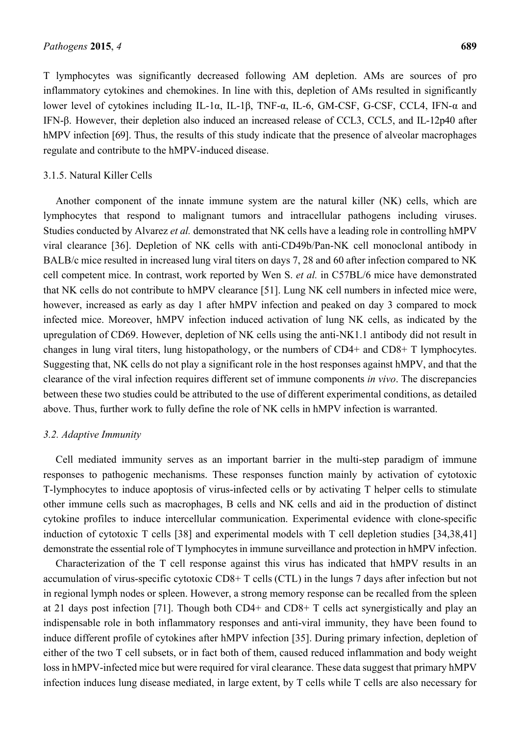T lymphocytes was significantly decreased following AM depletion. AMs are sources of pro inflammatory cytokines and chemokines. In line with this, depletion of AMs resulted in significantly lower level of cytokines including IL-1α, IL-1β, TNF-α, IL-6, GM-CSF, G-CSF, CCL4, IFN-α and IFN-β. However, their depletion also induced an increased release of CCL3, CCL5, and IL-12p40 after hMPV infection [69]. Thus, the results of this study indicate that the presence of alveolar macrophages regulate and contribute to the hMPV-induced disease.

#### 3.1.5. Natural Killer Cells

Another component of the innate immune system are the natural killer (NK) cells, which are lymphocytes that respond to malignant tumors and intracellular pathogens including viruses. Studies conducted by Alvarez *et al.* demonstrated that NK cells have a leading role in controlling hMPV viral clearance [36]. Depletion of NK cells with anti-CD49b/Pan-NK cell monoclonal antibody in BALB/c mice resulted in increased lung viral titers on days 7, 28 and 60 after infection compared to NK cell competent mice. In contrast, work reported by Wen S. *et al.* in C57BL/6 mice have demonstrated that NK cells do not contribute to hMPV clearance [51]. Lung NK cell numbers in infected mice were, however, increased as early as day 1 after hMPV infection and peaked on day 3 compared to mock infected mice. Moreover, hMPV infection induced activation of lung NK cells, as indicated by the upregulation of CD69. However, depletion of NK cells using the anti-NK1.1 antibody did not result in changes in lung viral titers, lung histopathology, or the numbers of CD4+ and CD8+ T lymphocytes. Suggesting that, NK cells do not play a significant role in the host responses against hMPV, and that the clearance of the viral infection requires different set of immune components *in vivo*. The discrepancies between these two studies could be attributed to the use of different experimental conditions, as detailed above. Thus, further work to fully define the role of NK cells in hMPV infection is warranted.

#### *3.2. Adaptive Immunity*

Cell mediated immunity serves as an important barrier in the multi-step paradigm of immune responses to pathogenic mechanisms. These responses function mainly by activation of cytotoxic T-lymphocytes to induce apoptosis of virus-infected cells or by activating T helper cells to stimulate other immune cells such as macrophages, B cells and NK cells and aid in the production of distinct cytokine profiles to induce intercellular communication. Experimental evidence with clone-specific induction of cytotoxic T cells [38] and experimental models with T cell depletion studies [34,38,41] demonstrate the essential role of T lymphocytes in immune surveillance and protection in hMPV infection.

Characterization of the T cell response against this virus has indicated that hMPV results in an accumulation of virus-specific cytotoxic CD8+ T cells (CTL) in the lungs 7 days after infection but not in regional lymph nodes or spleen. However, a strong memory response can be recalled from the spleen at 21 days post infection [71]. Though both CD4+ and CD8+ T cells act synergistically and play an indispensable role in both inflammatory responses and anti-viral immunity, they have been found to induce different profile of cytokines after hMPV infection [35]. During primary infection, depletion of either of the two T cell subsets, or in fact both of them, caused reduced inflammation and body weight loss in hMPV-infected mice but were required for viral clearance. These data suggest that primary hMPV infection induces lung disease mediated, in large extent, by T cells while T cells are also necessary for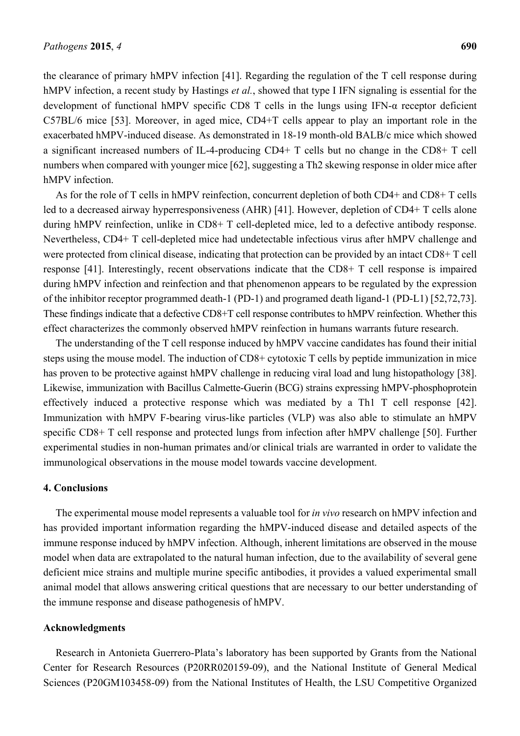the clearance of primary hMPV infection [41]. Regarding the regulation of the T cell response during hMPV infection, a recent study by Hastings *et al.*, showed that type I IFN signaling is essential for the development of functional hMPV specific CD8 T cells in the lungs using IFN-α receptor deficient C57BL/6 mice [53]. Moreover, in aged mice, CD4+T cells appear to play an important role in the exacerbated hMPV-induced disease. As demonstrated in 18-19 month-old BALB/c mice which showed a significant increased numbers of IL-4-producing CD4+ T cells but no change in the CD8+ T cell numbers when compared with younger mice [62], suggesting a Th2 skewing response in older mice after hMPV infection

As for the role of T cells in hMPV reinfection, concurrent depletion of both CD4+ and CD8+ T cells led to a decreased airway hyperresponsiveness (AHR) [41]. However, depletion of CD4+ T cells alone during hMPV reinfection, unlike in CD8+ T cell-depleted mice, led to a defective antibody response. Nevertheless, CD4+ T cell-depleted mice had undetectable infectious virus after hMPV challenge and were protected from clinical disease, indicating that protection can be provided by an intact CD8+ T cell response [41]. Interestingly, recent observations indicate that the CD8+ T cell response is impaired during hMPV infection and reinfection and that phenomenon appears to be regulated by the expression of the inhibitor receptor programmed death-1 (PD-1) and programed death ligand-1 (PD-L1) [52,72,73]. These findings indicate that a defective CD8+T cell response contributes to hMPV reinfection. Whether this effect characterizes the commonly observed hMPV reinfection in humans warrants future research.

The understanding of the T cell response induced by hMPV vaccine candidates has found their initial steps using the mouse model. The induction of CD8+ cytotoxic T cells by peptide immunization in mice has proven to be protective against hMPV challenge in reducing viral load and lung histopathology [38]. Likewise, immunization with Bacillus Calmette-Guerin (BCG) strains expressing hMPV-phosphoprotein effectively induced a protective response which was mediated by a Th1 T cell response [42]. Immunization with hMPV F-bearing virus-like particles (VLP) was also able to stimulate an hMPV specific CD8+ T cell response and protected lungs from infection after hMPV challenge [50]. Further experimental studies in non-human primates and/or clinical trials are warranted in order to validate the immunological observations in the mouse model towards vaccine development.

#### **4. Conclusions**

The experimental mouse model represents a valuable tool for *in vivo* research on hMPV infection and has provided important information regarding the hMPV-induced disease and detailed aspects of the immune response induced by hMPV infection. Although, inherent limitations are observed in the mouse model when data are extrapolated to the natural human infection, due to the availability of several gene deficient mice strains and multiple murine specific antibodies, it provides a valued experimental small animal model that allows answering critical questions that are necessary to our better understanding of the immune response and disease pathogenesis of hMPV.

#### **Acknowledgments**

Research in Antonieta Guerrero-Plata's laboratory has been supported by Grants from the National Center for Research Resources (P20RR020159-09), and the National Institute of General Medical Sciences (P20GM103458-09) from the National Institutes of Health, the LSU Competitive Organized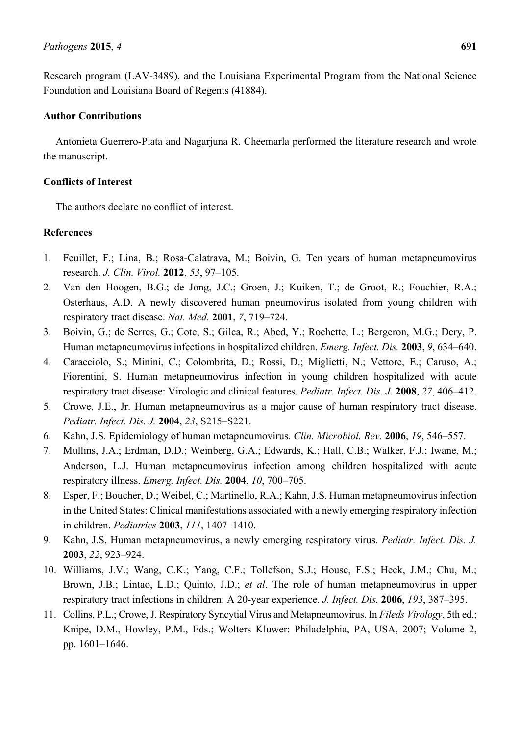Research program (LAV-3489), and the Louisiana Experimental Program from the National Science Foundation and Louisiana Board of Regents (41884).

## **Author Contributions**

Antonieta Guerrero-Plata and Nagarjuna R. Cheemarla performed the literature research and wrote the manuscript.

# **Conflicts of Interest**

The authors declare no conflict of interest.

# **References**

- 1. Feuillet, F.; Lina, B.; Rosa-Calatrava, M.; Boivin, G. Ten years of human metapneumovirus research. *J. Clin. Virol.* **2012**, *53*, 97–105.
- 2. Van den Hoogen, B.G.; de Jong, J.C.; Groen, J.; Kuiken, T.; de Groot, R.; Fouchier, R.A.; Osterhaus, A.D. A newly discovered human pneumovirus isolated from young children with respiratory tract disease. *Nat. Med.* **2001**, *7*, 719–724.
- 3. Boivin, G.; de Serres, G.; Cote, S.; Gilca, R.; Abed, Y.; Rochette, L.; Bergeron, M.G.; Dery, P. Human metapneumovirus infections in hospitalized children. *Emerg. Infect. Dis.* **2003**, *9*, 634–640.
- 4. Caracciolo, S.; Minini, C.; Colombrita, D.; Rossi, D.; Miglietti, N.; Vettore, E.; Caruso, A.; Fiorentini, S. Human metapneumovirus infection in young children hospitalized with acute respiratory tract disease: Virologic and clinical features. *Pediatr. Infect. Dis. J.* **2008**, *27*, 406–412.
- 5. Crowe, J.E., Jr. Human metapneumovirus as a major cause of human respiratory tract disease. *Pediatr. Infect. Dis. J.* **2004**, *23*, S215–S221.
- 6. Kahn, J.S. Epidemiology of human metapneumovirus. *Clin. Microbiol. Rev.* **2006**, *19*, 546–557.
- 7. Mullins, J.A.; Erdman, D.D.; Weinberg, G.A.; Edwards, K.; Hall, C.B.; Walker, F.J.; Iwane, M.; Anderson, L.J. Human metapneumovirus infection among children hospitalized with acute respiratory illness. *Emerg. Infect. Dis.* **2004**, *10*, 700–705.
- 8. Esper, F.; Boucher, D.; Weibel, C.; Martinello, R.A.; Kahn, J.S. Human metapneumovirus infection in the United States: Clinical manifestations associated with a newly emerging respiratory infection in children. *Pediatrics* **2003**, *111*, 1407–1410.
- 9. Kahn, J.S. Human metapneumovirus, a newly emerging respiratory virus. *Pediatr. Infect. Dis. J.* **2003**, *22*, 923–924.
- 10. Williams, J.V.; Wang, C.K.; Yang, C.F.; Tollefson, S.J.; House, F.S.; Heck, J.M.; Chu, M.; Brown, J.B.; Lintao, L.D.; Quinto, J.D.; *et al*. The role of human metapneumovirus in upper respiratory tract infections in children: A 20-year experience. *J. Infect. Dis.* **2006**, *193*, 387–395.
- 11. Collins, P.L.; Crowe, J. Respiratory Syncytial Virus and Metapneumovirus. In *Fileds Virology*, 5th ed.; Knipe, D.M., Howley, P.M., Eds.; Wolters Kluwer: Philadelphia, PA, USA, 2007; Volume 2, pp. 1601–1646.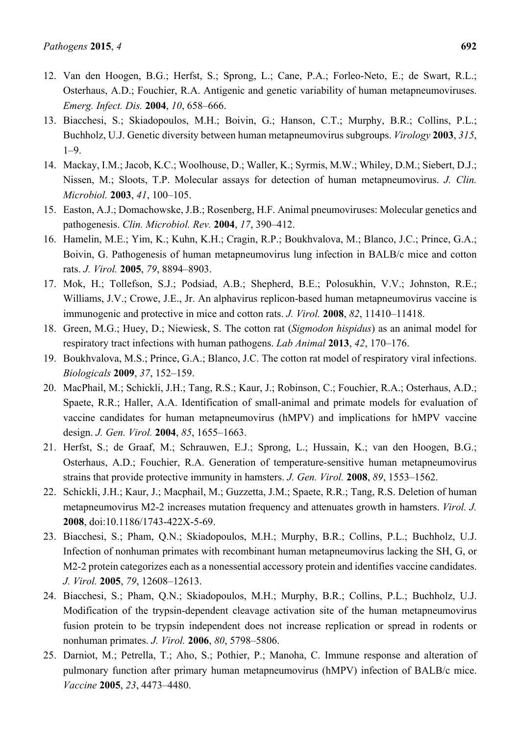- 12. Van den Hoogen, B.G.; Herfst, S.; Sprong, L.; Cane, P.A.; Forleo-Neto, E.; de Swart, R.L.; Osterhaus, A.D.; Fouchier, R.A. Antigenic and genetic variability of human metapneumoviruses. *Emerg. Infect. Dis.* **2004**, *10*, 658–666.
- 13. Biacchesi, S.; Skiadopoulos, M.H.; Boivin, G.; Hanson, C.T.; Murphy, B.R.; Collins, P.L.; Buchholz, U.J. Genetic diversity between human metapneumovirus subgroups. *Virology* **2003**, *315*,  $1 - 9$
- 14. Mackay, I.M.; Jacob, K.C.; Woolhouse, D.; Waller, K.; Syrmis, M.W.; Whiley, D.M.; Siebert, D.J.; Nissen, M.; Sloots, T.P. Molecular assays for detection of human metapneumovirus. *J. Clin. Microbiol.* **2003**, *41*, 100–105.
- 15. Easton, A.J.; Domachowske, J.B.; Rosenberg, H.F. Animal pneumoviruses: Molecular genetics and pathogenesis. *Clin. Microbiol. Rev.* **2004**, *17*, 390–412.
- 16. Hamelin, M.E.; Yim, K.; Kuhn, K.H.; Cragin, R.P.; Boukhvalova, M.; Blanco, J.C.; Prince, G.A.; Boivin, G. Pathogenesis of human metapneumovirus lung infection in BALB/c mice and cotton rats. *J. Virol.* **2005**, *79*, 8894–8903.
- 17. Mok, H.; Tollefson, S.J.; Podsiad, A.B.; Shepherd, B.E.; Polosukhin, V.V.; Johnston, R.E.; Williams, J.V.; Crowe, J.E., Jr. An alphavirus replicon-based human metapneumovirus vaccine is immunogenic and protective in mice and cotton rats. *J. Virol.* **2008**, *82*, 11410–11418.
- 18. Green, M.G.; Huey, D.; Niewiesk, S. The cotton rat (*Sigmodon hispidus*) as an animal model for respiratory tract infections with human pathogens. *Lab Animal* **2013**, *42*, 170–176.
- 19. Boukhvalova, M.S.; Prince, G.A.; Blanco, J.C. The cotton rat model of respiratory viral infections. *Biologicals* **2009**, *37*, 152–159.
- 20. MacPhail, M.; Schickli, J.H.; Tang, R.S.; Kaur, J.; Robinson, C.; Fouchier, R.A.; Osterhaus, A.D.; Spaete, R.R.; Haller, A.A. Identification of small-animal and primate models for evaluation of vaccine candidates for human metapneumovirus (hMPV) and implications for hMPV vaccine design. *J. Gen. Virol.* **2004**, *85*, 1655–1663.
- 21. Herfst, S.; de Graaf, M.; Schrauwen, E.J.; Sprong, L.; Hussain, K.; van den Hoogen, B.G.; Osterhaus, A.D.; Fouchier, R.A. Generation of temperature-sensitive human metapneumovirus strains that provide protective immunity in hamsters. *J. Gen. Virol.* **2008**, *89*, 1553–1562.
- 22. Schickli, J.H.; Kaur, J.; Macphail, M.; Guzzetta, J.M.; Spaete, R.R.; Tang, R.S. Deletion of human metapneumovirus M2-2 increases mutation frequency and attenuates growth in hamsters. *Virol. J.* **2008**, doi:10.1186/1743-422X-5-69.
- 23. Biacchesi, S.; Pham, Q.N.; Skiadopoulos, M.H.; Murphy, B.R.; Collins, P.L.; Buchholz, U.J. Infection of nonhuman primates with recombinant human metapneumovirus lacking the SH, G, or M2-2 protein categorizes each as a nonessential accessory protein and identifies vaccine candidates. *J. Virol.* **2005**, *79*, 12608–12613.
- 24. Biacchesi, S.; Pham, Q.N.; Skiadopoulos, M.H.; Murphy, B.R.; Collins, P.L.; Buchholz, U.J. Modification of the trypsin-dependent cleavage activation site of the human metapneumovirus fusion protein to be trypsin independent does not increase replication or spread in rodents or nonhuman primates. *J. Virol.* **2006**, *80*, 5798–5806.
- 25. Darniot, M.; Petrella, T.; Aho, S.; Pothier, P.; Manoha, C. Immune response and alteration of pulmonary function after primary human metapneumovirus (hMPV) infection of BALB/c mice. *Vaccine* **2005**, *23*, 4473–4480.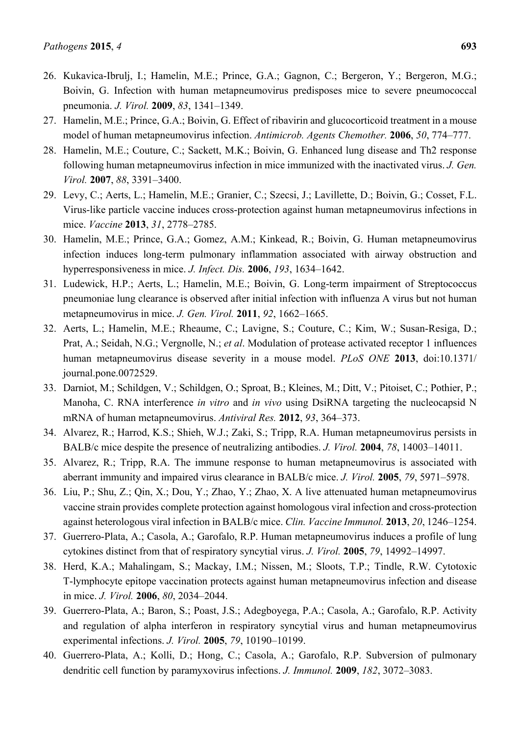- 26. Kukavica-Ibrulj, I.; Hamelin, M.E.; Prince, G.A.; Gagnon, C.; Bergeron, Y.; Bergeron, M.G.; Boivin, G. Infection with human metapneumovirus predisposes mice to severe pneumococcal pneumonia. *J. Virol.* **2009**, *83*, 1341–1349.
- 27. Hamelin, M.E.; Prince, G.A.; Boivin, G. Effect of ribavirin and glucocorticoid treatment in a mouse model of human metapneumovirus infection. *Antimicrob. Agents Chemother.* **2006**, *50*, 774–777.
- 28. Hamelin, M.E.; Couture, C.; Sackett, M.K.; Boivin, G. Enhanced lung disease and Th2 response following human metapneumovirus infection in mice immunized with the inactivated virus. *J. Gen. Virol.* **2007**, *88*, 3391–3400.
- 29. Levy, C.; Aerts, L.; Hamelin, M.E.; Granier, C.; Szecsi, J.; Lavillette, D.; Boivin, G.; Cosset, F.L. Virus-like particle vaccine induces cross-protection against human metapneumovirus infections in mice. *Vaccine* **2013**, *31*, 2778–2785.
- 30. Hamelin, M.E.; Prince, G.A.; Gomez, A.M.; Kinkead, R.; Boivin, G. Human metapneumovirus infection induces long-term pulmonary inflammation associated with airway obstruction and hyperresponsiveness in mice. *J. Infect. Dis.* **2006**, *193*, 1634–1642.
- 31. Ludewick, H.P.; Aerts, L.; Hamelin, M.E.; Boivin, G. Long-term impairment of Streptococcus pneumoniae lung clearance is observed after initial infection with influenza A virus but not human metapneumovirus in mice. *J. Gen. Virol.* **2011**, *92*, 1662–1665.
- 32. Aerts, L.; Hamelin, M.E.; Rheaume, C.; Lavigne, S.; Couture, C.; Kim, W.; Susan-Resiga, D.; Prat, A.; Seidah, N.G.; Vergnolle, N.; *et al*. Modulation of protease activated receptor 1 influences human metapneumovirus disease severity in a mouse model. *PLoS ONE* **2013**, doi:10.1371/ journal.pone.0072529.
- 33. Darniot, M.; Schildgen, V.; Schildgen, O.; Sproat, B.; Kleines, M.; Ditt, V.; Pitoiset, C.; Pothier, P.; Manoha, C. RNA interference *in vitro* and *in vivo* using DsiRNA targeting the nucleocapsid N mRNA of human metapneumovirus. *Antiviral Res.* **2012**, *93*, 364–373.
- 34. Alvarez, R.; Harrod, K.S.; Shieh, W.J.; Zaki, S.; Tripp, R.A. Human metapneumovirus persists in BALB/c mice despite the presence of neutralizing antibodies. *J. Virol.* **2004**, *78*, 14003–14011.
- 35. Alvarez, R.; Tripp, R.A. The immune response to human metapneumovirus is associated with aberrant immunity and impaired virus clearance in BALB/c mice. *J. Virol.* **2005**, *79*, 5971–5978.
- 36. Liu, P.; Shu, Z.; Qin, X.; Dou, Y.; Zhao, Y.; Zhao, X. A live attenuated human metapneumovirus vaccine strain provides complete protection against homologous viral infection and cross-protection against heterologous viral infection in BALB/c mice. *Clin. Vaccine Immunol.* **2013**, *20*, 1246–1254.
- 37. Guerrero-Plata, A.; Casola, A.; Garofalo, R.P. Human metapneumovirus induces a profile of lung cytokines distinct from that of respiratory syncytial virus. *J. Virol.* **2005**, *79*, 14992–14997.
- 38. Herd, K.A.; Mahalingam, S.; Mackay, I.M.; Nissen, M.; Sloots, T.P.; Tindle, R.W. Cytotoxic T-lymphocyte epitope vaccination protects against human metapneumovirus infection and disease in mice. *J. Virol.* **2006**, *80*, 2034–2044.
- 39. Guerrero-Plata, A.; Baron, S.; Poast, J.S.; Adegboyega, P.A.; Casola, A.; Garofalo, R.P. Activity and regulation of alpha interferon in respiratory syncytial virus and human metapneumovirus experimental infections. *J. Virol.* **2005**, *79*, 10190–10199.
- 40. Guerrero-Plata, A.; Kolli, D.; Hong, C.; Casola, A.; Garofalo, R.P. Subversion of pulmonary dendritic cell function by paramyxovirus infections. *J. Immunol.* **2009**, *182*, 3072–3083.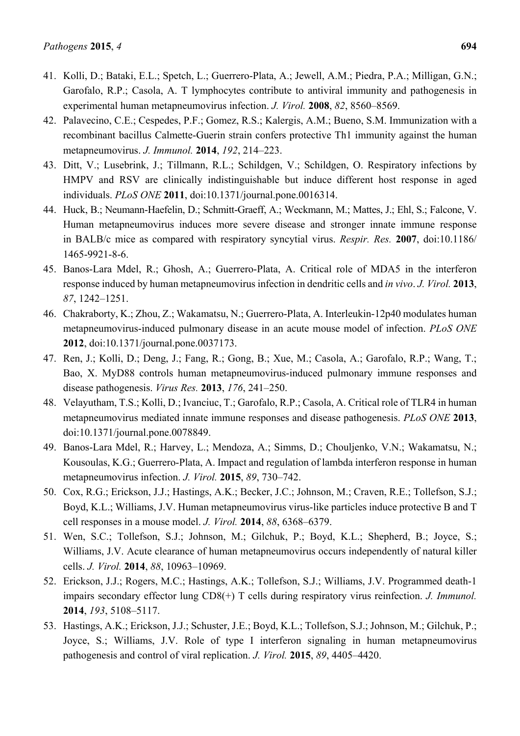- 41. Kolli, D.; Bataki, E.L.; Spetch, L.; Guerrero-Plata, A.; Jewell, A.M.; Piedra, P.A.; Milligan, G.N.; Garofalo, R.P.; Casola, A. T lymphocytes contribute to antiviral immunity and pathogenesis in experimental human metapneumovirus infection. *J. Virol.* **2008**, *82*, 8560–8569.
- 42. Palavecino, C.E.; Cespedes, P.F.; Gomez, R.S.; Kalergis, A.M.; Bueno, S.M. Immunization with a recombinant bacillus Calmette-Guerin strain confers protective Th1 immunity against the human metapneumovirus. *J. Immunol.* **2014**, *192*, 214–223.
- 43. Ditt, V.; Lusebrink, J.; Tillmann, R.L.; Schildgen, V.; Schildgen, O. Respiratory infections by HMPV and RSV are clinically indistinguishable but induce different host response in aged individuals. *PLoS ONE* **2011**, doi:10.1371/journal.pone.0016314.
- 44. Huck, B.; Neumann-Haefelin, D.; Schmitt-Graeff, A.; Weckmann, M.; Mattes, J.; Ehl, S.; Falcone, V. Human metapneumovirus induces more severe disease and stronger innate immune response in BALB/c mice as compared with respiratory syncytial virus. *Respir. Res.* **2007**, doi:10.1186/ 1465-9921-8-6.
- 45. Banos-Lara Mdel, R.; Ghosh, A.; Guerrero-Plata, A. Critical role of MDA5 in the interferon response induced by human metapneumovirus infection in dendritic cells and *in vivo*. *J. Virol.* **2013**, *87*, 1242–1251.
- 46. Chakraborty, K.; Zhou, Z.; Wakamatsu, N.; Guerrero-Plata, A. Interleukin-12p40 modulates human metapneumovirus-induced pulmonary disease in an acute mouse model of infection. *PLoS ONE* **2012**, doi:10.1371/journal.pone.0037173.
- 47. Ren, J.; Kolli, D.; Deng, J.; Fang, R.; Gong, B.; Xue, M.; Casola, A.; Garofalo, R.P.; Wang, T.; Bao, X. MyD88 controls human metapneumovirus-induced pulmonary immune responses and disease pathogenesis. *Virus Res.* **2013**, *176*, 241–250.
- 48. Velayutham, T.S.; Kolli, D.; Ivanciuc, T.; Garofalo, R.P.; Casola, A. Critical role of TLR4 in human metapneumovirus mediated innate immune responses and disease pathogenesis. *PLoS ONE* **2013**, doi:10.1371/journal.pone.0078849.
- 49. Banos-Lara Mdel, R.; Harvey, L.; Mendoza, A.; Simms, D.; Chouljenko, V.N.; Wakamatsu, N.; Kousoulas, K.G.; Guerrero-Plata, A. Impact and regulation of lambda interferon response in human metapneumovirus infection. *J. Virol.* **2015**, *89*, 730–742.
- 50. Cox, R.G.; Erickson, J.J.; Hastings, A.K.; Becker, J.C.; Johnson, M.; Craven, R.E.; Tollefson, S.J.; Boyd, K.L.; Williams, J.V. Human metapneumovirus virus-like particles induce protective B and T cell responses in a mouse model. *J. Virol.* **2014**, *88*, 6368–6379.
- 51. Wen, S.C.; Tollefson, S.J.; Johnson, M.; Gilchuk, P.; Boyd, K.L.; Shepherd, B.; Joyce, S.; Williams, J.V. Acute clearance of human metapneumovirus occurs independently of natural killer cells. *J. Virol.* **2014**, *88*, 10963–10969.
- 52. Erickson, J.J.; Rogers, M.C.; Hastings, A.K.; Tollefson, S.J.; Williams, J.V. Programmed death-1 impairs secondary effector lung CD8(+) T cells during respiratory virus reinfection. *J. Immunol.* **2014**, *193*, 5108–5117.
- 53. Hastings, A.K.; Erickson, J.J.; Schuster, J.E.; Boyd, K.L.; Tollefson, S.J.; Johnson, M.; Gilchuk, P.; Joyce, S.; Williams, J.V. Role of type I interferon signaling in human metapneumovirus pathogenesis and control of viral replication. *J. Virol.* **2015**, *89*, 4405–4420.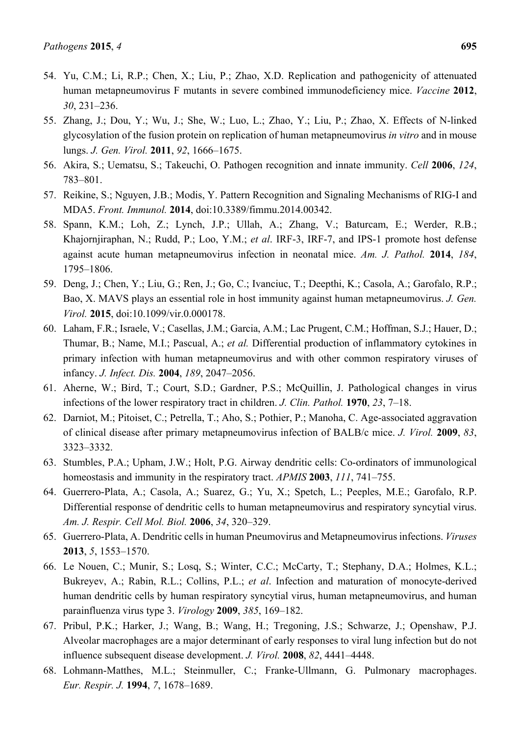- 54. Yu, C.M.; Li, R.P.; Chen, X.; Liu, P.; Zhao, X.D. Replication and pathogenicity of attenuated human metapneumovirus F mutants in severe combined immunodeficiency mice. *Vaccine* **2012**, *30*, 231–236.
- 55. Zhang, J.; Dou, Y.; Wu, J.; She, W.; Luo, L.; Zhao, Y.; Liu, P.; Zhao, X. Effects of N-linked glycosylation of the fusion protein on replication of human metapneumovirus *in vitro* and in mouse lungs. *J. Gen. Virol.* **2011**, *92*, 1666–1675.
- 56. Akira, S.; Uematsu, S.; Takeuchi, O. Pathogen recognition and innate immunity. *Cell* **2006**, *124*, 783–801.
- 57. Reikine, S.; Nguyen, J.B.; Modis, Y. Pattern Recognition and Signaling Mechanisms of RIG-I and MDA5. *Front. Immunol.* **2014**, doi:10.3389/fimmu.2014.00342.
- 58. Spann, K.M.; Loh, Z.; Lynch, J.P.; Ullah, A.; Zhang, V.; Baturcam, E.; Werder, R.B.; Khajornjiraphan, N.; Rudd, P.; Loo, Y.M.; *et al*. IRF-3, IRF-7, and IPS-1 promote host defense against acute human metapneumovirus infection in neonatal mice. *Am. J. Pathol.* **2014**, *184*, 1795–1806.
- 59. Deng, J.; Chen, Y.; Liu, G.; Ren, J.; Go, C.; Ivanciuc, T.; Deepthi, K.; Casola, A.; Garofalo, R.P.; Bao, X. MAVS plays an essential role in host immunity against human metapneumovirus. *J. Gen. Virol.* **2015**, doi:10.1099/vir.0.000178.
- 60. Laham, F.R.; Israele, V.; Casellas, J.M.; Garcia, A.M.; Lac Prugent, C.M.; Hoffman, S.J.; Hauer, D.; Thumar, B.; Name, M.I.; Pascual, A.; *et al.* Differential production of inflammatory cytokines in primary infection with human metapneumovirus and with other common respiratory viruses of infancy. *J. Infect. Dis.* **2004**, *189*, 2047–2056.
- 61. Aherne, W.; Bird, T.; Court, S.D.; Gardner, P.S.; McQuillin, J. Pathological changes in virus infections of the lower respiratory tract in children. *J. Clin. Pathol.* **1970**, *23*, 7–18.
- 62. Darniot, M.; Pitoiset, C.; Petrella, T.; Aho, S.; Pothier, P.; Manoha, C. Age-associated aggravation of clinical disease after primary metapneumovirus infection of BALB/c mice. *J. Virol.* **2009**, *83*, 3323–3332.
- 63. Stumbles, P.A.; Upham, J.W.; Holt, P.G. Airway dendritic cells: Co-ordinators of immunological homeostasis and immunity in the respiratory tract. *APMIS* **2003**, *111*, 741–755.
- 64. Guerrero-Plata, A.; Casola, A.; Suarez, G.; Yu, X.; Spetch, L.; Peeples, M.E.; Garofalo, R.P. Differential response of dendritic cells to human metapneumovirus and respiratory syncytial virus. *Am. J. Respir. Cell Mol. Biol.* **2006**, *34*, 320–329.
- 65. Guerrero-Plata, A. Dendritic cells in human Pneumovirus and Metapneumovirus infections. *Viruses* **2013**, *5*, 1553–1570.
- 66. Le Nouen, C.; Munir, S.; Losq, S.; Winter, C.C.; McCarty, T.; Stephany, D.A.; Holmes, K.L.; Bukreyev, A.; Rabin, R.L.; Collins, P.L.; *et al*. Infection and maturation of monocyte-derived human dendritic cells by human respiratory syncytial virus, human metapneumovirus, and human parainfluenza virus type 3. *Virology* **2009**, *385*, 169–182.
- 67. Pribul, P.K.; Harker, J.; Wang, B.; Wang, H.; Tregoning, J.S.; Schwarze, J.; Openshaw, P.J. Alveolar macrophages are a major determinant of early responses to viral lung infection but do not influence subsequent disease development. *J. Virol.* **2008**, *82*, 4441–4448.
- 68. Lohmann-Matthes, M.L.; Steinmuller, C.; Franke-Ullmann, G. Pulmonary macrophages. *Eur. Respir. J.* **1994**, *7*, 1678–1689.